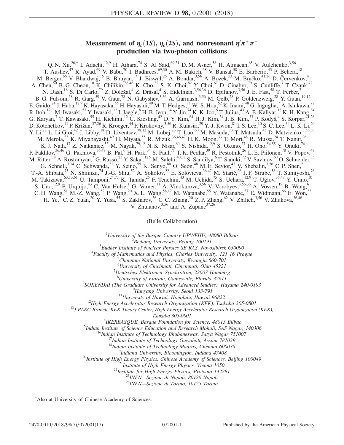# Measurement of  $\eta_c(1S)$ ,  $\eta_c(2S)$ , and nonresonant  $\eta'\pi^+\pi^$ production via two-photon collisions

<span id="page-0-1"></span>Q. N. Xu,<sup>20[,\\*](#page-0-0)</sup> I. Adachi,<sup>12,9</sup> H. Aihara,<sup>74</sup> S. Al Said,<sup>69,31</sup> D. M. Asner,<sup>58</sup> H. Atmacan,<sup>65</sup> V. Aulchenko,<sup>3,56</sup> T. Aushev,<sup>47</sup> R. Ayad,<sup>69</sup> V. Babu,<sup>70</sup> I. Badhrees,<sup>69,30</sup> A. M. Bakich,<sup>68</sup> V. Bansal,<sup>58</sup> E. Barberio,<sup>43</sup> P. Behera,<sup>18</sup> M. Berger,<sup>66</sup> V. Bhardwaj,<sup>15</sup> B. Bhuyan,<sup>17</sup> J. Biswal,<sup>26</sup> A. Bondar,<sup>3,56</sup> A. Bozek,<sup>53</sup> M. Bračko,<sup>41,26</sup> D. Červenkov,<sup>4</sup> A. Chen,<sup>50</sup> B. G. Cheon,<sup>10</sup> K. Chilikin,<sup>36,46</sup> K. Cho,<sup>32</sup> S.-K. Choi,<sup>82</sup> Y. Choi,<sup>67</sup> D. Cinabro,<sup>79</sup> S. Cunliffe,<sup>7</sup> T. Czank,<sup>72</sup> N. Dash,<sup>16</sup> S. Di Carlo,<sup>79</sup> Z. Doležal,<sup>4</sup> Z. Drásal,<sup>4</sup> S. Eidelman,<sup>3,56,36</sup> D. Epifanov,<sup>3,56</sup> J. E. Fast,<sup>58</sup> T. Ferber,<sup>7</sup> B. G. Fulsom,  $^{58}$  R. Garg,  $^{59}$  V. Gaur,  $^{78}$  N. Gabyshev,  $^{3,56}$  A. Garmash,  $^{3,56}$  M. Gelb,  $^{28}$  P. Goldenzweig,  $^{28}$  Y. Guan,  $^{19,12}$ E. Guido,<sup>24</sup> J. Haba,<sup>12,9</sup> K. Hayasaka,<sup>55</sup> H. Hayashii,<sup>49</sup> M. T. Hedges,<sup>11</sup> W.-S. Hou,<sup>52</sup> K. Inami,<sup>48</sup> G. Inguglia,<sup>7</sup> A. Ishikawa,<sup>72</sup> R. Itoh,<sup>12,9</sup> M. Iwasaki,<sup>57</sup> Y. Iwasaki,<sup>12</sup> I. Jaegle, <sup>8</sup> H. B. Jeon, <sup>34</sup> Y. Jin, <sup>74</sup> K. K. Joo, 5 T. Julius, <sup>43</sup> A. B. Kaliyar, <sup>18</sup> K. H. Kang, <sup>34</sup> G. Karyan,<sup>7</sup> T. Kawasaki,<sup>55</sup> H. Kichimi,<sup>12</sup> C. Kiesling,<sup>42</sup> D. Y. Kim,<sup>64</sup> H. J. Kim,<sup>34</sup> J. B. Kim,<sup>33</sup> P. Kodyš,<sup>4</sup> S. Korpar,<sup>41,26</sup> D. Kotchetkov,  $^{11}$  P. Križan,  $^{37,26}$  R. Kroeger,  $^{44}$  P. Krokovny,  $^{3,56}$  R. Kulasiri,  $^{29}$  Y.-J. Kwon,  $^{81}$  I. S. Lee,  $^{10}$  S. C. Lee,  $^{34}$  L. K. Li,  $^{20}$ Y. Li,<sup>78</sup> L. Li Gioi,<sup>42</sup> J. Libby,<sup>18</sup> D. Liventsev,<sup>78,12</sup> M. Lubej,<sup>26</sup> T. Luo,<sup>60</sup> M. Masuda,<sup>73</sup> T. Matsuda,<sup>45</sup> D. Matvienko,<sup>3,56,36</sup> M. Merola,<sup>23</sup> K. Miyabayashi,<sup>49</sup> H. Miyata,<sup>55</sup> R. Mizuk,<sup>36,46,47</sup> H. K. Moon,<sup>33</sup> T. Mori,<sup>48</sup> R. Mussa,<sup>24</sup> T. Nanut,<sup>26</sup> K. J. Nath,<sup>17</sup> Z. Natkaniec,<sup>53</sup> M. Nayak,<sup>79,12</sup> N. K. Nisar,<sup>60</sup> S. Nishida,<sup>12,9</sup> S. Okuno,<sup>27</sup> H. Ono,<sup>54,55</sup> Y. Onuki,<sup>74</sup> P. Pakhlov,<sup>36,46</sup> G. Pakhlova,<sup>36,47</sup> B. Pal,<sup>6</sup> H. Park,<sup>34</sup> S. Paul,<sup>71</sup> T. K. Pedlar,<sup>39</sup> R. Pestotnik,<sup>26</sup> L. E. Piilonen,<sup>78</sup> V. Popov,<sup>47</sup> M. Ritter,<sup>38</sup> A. Rostomyan,<sup>7</sup> G. Russo,<sup>23</sup> Y. Sakai,<sup>12,9</sup> M. Salehi,<sup>40,38</sup> S. Sandilya,<sup>6</sup> T. Sanuki,<sup>72</sup> V. Savinov,<sup>60</sup> O. Schneider,<sup>35</sup> G. Schnell,<sup>1,14</sup> C. Schwanda,<sup>21</sup> Y. Seino,<sup>55</sup> K. Senyo,<sup>80</sup> O. Seon,<sup>48</sup> M. E. Sevior,<sup>43</sup> V. Shebalin,<sup>3,56</sup> C. P. Shen,<sup>2</sup> T.-A. Shibata,<sup>75</sup> N. Shimizu,<sup>74</sup> J.-G. Shiu,<sup>52</sup> A. Sokolov,<sup>22</sup> E. Solovieva,<sup>36,47</sup> M. Starič,<sup>26</sup> J. F. Strube,<sup>58</sup> T. Sumiyoshi,<sup>76</sup> M. Takizawa,<sup>63,13,61</sup> U. Tamponi,<sup>24,77</sup> K. Tanida,<sup>25</sup> F. Tenchini,<sup>43</sup> M. Uchida,<sup>75</sup> S. Uehara,<sup>12,9</sup> T. Uglov,<sup>36,47</sup> Y. Unno,<sup>10</sup> S. Uno,<sup>12,9</sup> P. Urquijo,<sup>43</sup> C. Van Hulse,<sup>1</sup> G. Varner,<sup>11</sup> A. Vinokurova,<sup>3,56</sup> V. Vorobyev,<sup>3,56,36</sup> A. Vossen,<sup>19</sup> B. Wang,<sup>6</sup> C. H. Wang,<sup>51</sup> M.-Z. Wang,<sup>52</sup> P. Wang,<sup>20</sup> X. L. Wang,<sup>58,12</sup> M. Watanabe,<sup>55</sup> Y. Watanabe,<sup>27</sup> E. Widmann,<sup>66</sup> E. Won,<sup>33</sup> H. Ye,  $^7$  C. Z. Yuan,  $^{20}$  Y. Yusa,  $^{55}$  S. Zakharov,  $^{36}$  C. C. Zhang,  $^{20}$  Z. P. Zhang,  $^{62}$  V. Zhilich,  $^{3,56}$  V. Zhukova,  $^{36,46}$ V. Zhulanov,  $3,56$  and A. Zupanc $37,26$ 

(Belle Collaboration)

<sup>1</sup>University of the Basque Country UPV/EHU, 48080 Bilbao  $\frac{2 \text{ B} \text{g} \cdot \text{h}}{2 \text{ B} \text{g} \cdot \text{h}}$  are properties and  $\frac{2 \text{ B} \text{g}}{2 \text{ g}}$  and  $\frac{2 \text{ B} \text{g}}{2 \text{ g}}$  and  $\frac{2 \text{ B} \text{g}}{2 \text{ g}}$  and  $\frac{2 \text{ B} \text{g}}{2$ 

Beihang University, Beijing 100191<sup>3</sup><br><sup>3</sup> Budhar Institute of Nuclear Physics SB BAS, Nove

 $B$ Budker Institute of Nuclear Physics SB RAS, Novosibirsk 630090<br> $B$ <sub>Equal</sub>ty of Mathematics and Physics Charles University 121.16 Pre

 ${}^{4}$ Faculty of Mathematics and Physics, Charles University, 121 16 Prague

 ${}^{5}$ Chonnam National University, Kwangju 660-701

<sup>6</sup> University of Cincinnati, Cincinnati, Ohio 45221

 $17$ Deutsches Elektronen–Synchrotron, 22607 Hamburg

<sup>8</sup>University of Florida, Gainesville, Florida 32611<br>9SOKENDAI (The Graduate University for Advanced Studies), Hayama 240-0193

<sup>10</sup>Hanyang University, Seoul 133-791<br><sup>11</sup>University of Hawaii, Honolulu, Hawaii 96822<br><sup>12</sup>High Energy Accelerator Research Organization (KEK), Tsukuba 305-0801<br><sup>13</sup>J-PARC Branch, KEK Theory Center, High Energy Accelerato

Tsukuba 305-0801<br><sup>14</sup>IKERBASQUE, Basque Foundation for Science, 48013 Bilbao<br><sup>15</sup>Indian Institute of Science Education and Research Mohali, SAS Nagar, 140306<br><sup>16</sup>Indian Institute of Technology Bhubaneswar, Satya Nagar 7510

<sup>19</sup>Indiana University, Bloomington, Indiana 47408<br><sup>20</sup>Institute of High Energy Physics, Chinese Academy of Sciences, Beijing 100049<br><sup>21</sup>Institute of High Energy Physics, Vienna 1050<br><sup>22</sup>Institute for High Energy Physics,

<span id="page-0-0"></span>[\\*](#page-0-1) Also at University of Chinese Academy of Sciences.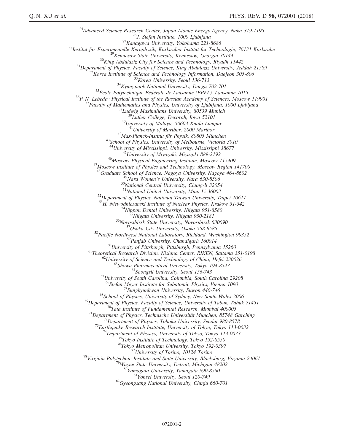<sup>25</sup>Advanced Science Research Center, Japan Atomic Energy Agency, Naka 319-1195<br><sup>25</sup>A. Stefan Institute, 1000 Ljubljana<br><sup>26</sup>A. Stefan Institute, 1000 Ljubljana<br><sup>27</sup>A. Stefan Institute, 1000 Ljubljana 221-8686<br><sup>26</sup>Kennesaw <sup>43</sup>School of Physics, University of Melbourne, Victoria 3010<br><sup>44</sup>University of Mississippi, University, Mississippi 38677<br><sup>45</sup>University of Miyazaki, Miyazaki 889-2192<br><sup>46</sup>Moscow Physical Engineering Institute, Moscow 11 <sup>48</sup>Graduate School of Science, Nagoya University, Nagoya 464-8602<br><sup>49</sup>Nara Women's University, Nara 630-8506<br><sup>50</sup>National Central University, Chung-li 32054<br><sup>51</sup>National United University, Miao Li 36003 <sup>52</sup>Department of Physics, National Taiwan University, Taipei 10617<br><sup>53</sup>H. Niewodniczanski Institute of Nuclear Physics, Krakow 31-342 <sup>54</sup>Nippon Dental University, Niigata 951-8580<br><sup>55</sup>Niigata University, Niigata 950-2181<br><sup>56</sup>Novosibirsk State University, Novosibirsk 630090<br><sup>57</sup>Osaka City University, Osaka 558-8585<br><sup>58</sup>Pacific Northwest National Laborat <sup>60</sup>University of Pittsburgh, Pittsburgh, Pennsylvania 15260<br>
<sup>61</sup>Theoretical Research Division, Nishina Center, RIKEN, Saitama 351-0198<br>
<sup>62</sup>University of Science and Technology of China, Hefei 230026<br>
<sup>63</sup>Showa Pharmace <sup>67</sup>Stefan Meyer Institute for Sungkyunkwan University, Suwon 440-746<br><sup>68</sup>School of Physics, University of Sydney, New South Wales 2006<br><sup>69</sup>Department of Physics, Faculty of Science, University of Tabuk, Tabuk 71451 <sup>69</sup>Department of Physics, Faculty of Science, University of Tabuk, Tabuk 71451<br><sup>70</sup>Tata Institute of Fundamental Research, Mumbai 400005<br><sup>71</sup>Department of Physics, Technische Universität München, 85748 Garching<br><sup>72</sup>Depar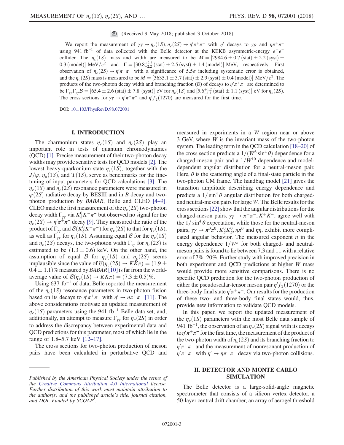(Received 9 May 2018; published 3 October 2018)

We report the measurement of  $\gamma \gamma \to \eta_c(1S), \eta_c(2S) \to \eta' \pi^+ \pi^-$  with  $\eta'$  decays to  $\gamma \rho$  and  $\eta \pi^+ \pi^$ using 941 fb<sup>-1</sup> of data collected with the Belle detector at the KEKB asymmetric-energy  $e^+e^$ collider. The  $\eta_c(1S)$  mass and width are measured to be  $M = [2984.6 \pm 0.7 \text{ (stat)} \pm 2.2 \text{ (syst)} \pm 1.0 \text{ (syst)} \pm 0.0 \text{ (syst)} \pm 0.0 \text{ (syst)} \pm 0.0 \text{ (syst)} \pm 0.0 \text{ (syst)} \pm 0.0 \text{ (syst)} \pm 0.0 \text{ (syst)} \pm 0.0 \text{ (syst)} \pm 0.0 \text{ (syst)} \pm 0.0 \text{ (s$ 0.3 (model)] MeV/ $c^2$  and  $\Gamma = [30.8_{-2.2}^{+2.3} \text{ (stat)} \pm 2.5 \text{ (syst)} \pm 1.4 \text{ (model)}]$  MeV, respectively. First observation of  $\eta_c(2S) \to \eta' \pi^+ \pi^-$  with a significance of 5.5 $\sigma$  including systematic error is obtained, and the  $\eta_c(2S)$  mass is measured to be  $M = [3635.1 \pm 3.7 \text{ (stat)} \pm 2.9 \text{ (syst)} \pm 0.4 \text{ (model)}] \text{ MeV}/c^2$ . The products of the two-photon decay width and branching fraction (B) of decays to  $\eta/\pi^+\pi^-$  are determined to be  $\Gamma_{\gamma\gamma}\Gamma_{\gamma\gamma}\mathcal{B} = [65.4 \pm 2.6 \text{ (stat)} \pm 7.8 \text{ (syst)}] \text{ eV for } \eta_c(1S) \text{ and } [5.6^{+1.2}_{-1.1} \text{ (stat)} \pm 1.1 \text{ (syst)}] \text{ eV for } \eta_c(2S)$ . The cross sections for  $\gamma \gamma \to \eta' \pi^+ \pi^-$  and  $\eta' f_2(1270)$  are measured for the first time.

DOI: [10.1103/PhysRevD.98.072001](https://doi.org/10.1103/PhysRevD.98.072001)

### I. INTRODUCTION

The charmonium states  $\eta_c(1S)$  and  $\eta_c(2S)$  play an important role in tests of quantum chromodynamics (QCD) [\[1\]](#page-16-0). Precise measurement of their two-photon decay widths may provide sensitive tests for QCD models [\[2\]](#page-16-1). The lowest heavy-quarkonium state  $\eta_c(1S)$ , together with the  $J/\psi$ ,  $\eta_b(1S)$ , and  $\Upsilon(1S)$ , serve as benchmarks for the finetuning of input parameters for QCD calculations [\[3\].](#page-16-2) The  $\eta_c(1S)$  and  $\eta_c(2S)$  resonance parameters were measured in  $\psi(2S)$  radiative decay by BESIII and in B decay and twophoton production by BABAR, Belle and CLEO [\[4](#page-16-3)–9]. CLEO made the first measurement of the  $\eta_c(2S)$  two-photon decay width  $\Gamma_{\gamma\gamma}$  via  $K_S^0 K^+\pi^-$  but observed no signal for the  $\eta_c(2S) \to \eta' \pi^+ \pi^-$  decay [\[9\].](#page-16-4) They measured the ratio of the product of  $\Gamma_{\gamma\gamma}$  and  $\mathcal{B}(K^0_S K^+\pi^-)$  for  $\eta_c(2S)$  to that for  $\eta_c(1S)$ , as well as  $\Gamma_{\gamma\gamma}$  for  $\eta_c(1S)$ . Assuming equal B for the  $\eta_c(1S)$ and  $\eta_c(2S)$  decays, the two-photon width  $\Gamma_{\gamma\gamma}$  for  $\eta_c(2S)$  is estimated to be  $(1.3 \pm 0.6)$  keV. On the other hand, the assumption of equal B for  $\eta_c(1S)$  and  $\eta_c(2S)$  seems implausible since the value of  $\mathcal{B}(\eta_c(2S) \to K\bar{K}\pi) = (1.9 \pm 0.11)$  $(0.4 \pm 1.1)\%$  measured by *BABAR* [\[10\]](#page-16-5) is far from the worldaverage value of  $\mathcal{B}(\eta_c(1S) \to K\bar{K}\pi) = (7.3 \pm 0.5)\%$ .

Using  $637$  fb<sup>-1</sup> of data, Belle reported the measurement of the  $\eta_c(1S)$  resonance parameters in two-photon fusion based on its decays to  $\eta'\pi^+\pi^-$  with  $\eta'\to\eta\pi^+\pi^-$  [\[11\].](#page-16-6) The above considerations motivate an updated measurement of  $\eta_c(1S)$  parameters using the 941 fb<sup>-1</sup> Belle data set, and, additionally, an attempt to measure  $\Gamma_{\gamma\gamma}$  for  $\eta_c(2S)$  in order to address the discrepancy between experimental data and QCD predictions for this parameter, most of which lie in the range of 1.8–5.7 keV [\[12](#page-16-7)–17].

The cross sections for two-photon production of meson pairs have been calculated in perturbative QCD and measured in experiments in a W region near or above 3 GeV, where W is the invariant mass of the two-photon system. The leading term in the QCD calculation [\[18](#page-16-8)–20] of the cross section predicts a  $1/(W^6 \sin^4 \theta)$  dependence for a charged-meson pair and a  $1/W^{10}$  dependence and modeldependent angular distribution for a neutral-meson pair. Here,  $\theta$  is the scattering angle of a final-state particle in the two-photon CM frame. The handbag model [\[21\]](#page-16-9) gives the transition amplitude describing energy dependence and predicts a  $1/\sin^4 \theta$  angular distribution for both chargedand neutral-meson pairs for large W. The Belle results for the cross sections [\[22\]](#page-16-10) show that the angular distributions for the charged-meson pairs,  $\gamma \gamma \rightarrow \pi^+\pi^-, K^+K^-$ , agree well with the  $1/\sin^4 \theta$  expectation, while those for the neutral-meson pairs,  $\gamma \gamma \to \pi^0 \pi^0$ ,  $K_S^0 K_S^0$ ,  $\eta \pi^0$  and  $\eta \eta$ , exhibit more complicated angular behavior. The measured exponent  $n$  in the energy dependence  $1/W^n$  for both charged- and neutralmeson pairs is found to lie between 7.3 and 11 with a relative error of 7%–20%. Further study with improved precision in both experiment and QCD predictions at higher W mass would provide more sensitive comparisons. There is no specific QCD prediction for the two-photon production of either the pseudoscalar-tensor meson pair  $\eta' f_2(1270)$  or the three-body final state  $\eta'\pi^+\pi^-$ . Our results for the production of these two- and three-body final states would, thus, provide new information to validate QCD models.

In this paper, we report the updated measurement of the  $\eta_c(1S)$  parameters with the most Belle data sample of 941 fb<sup>-1</sup>, the observation of an  $\eta_c(2S)$  signal with its decays to  $\eta'\pi^+\pi^-$  for the first time, the measurement of the product of the two-photon width of  $\eta_c(2S)$  and its branching fraction to  $\eta^{\prime}\pi^+\pi^-$  and the measurement of nonresonant production of  $\eta' \pi^+ \pi^-$  with  $\eta' \to \eta \pi^+ \pi^-$  decay via two-photon collisions.

## II. DETECTOR AND MONTE CARLO SIMULATION

The Belle detector is a large-solid-angle magnetic spectrometer that consists of a silicon vertex detector, a 50-layer central drift chamber, an array of aerogel threshold

Published by the American Physical Society under the terms of the [Creative Commons Attribution 4.0 International](https://creativecommons.org/licenses/by/4.0/) license. Further distribution of this work must maintain attribution to the author(s) and the published article's title, journal citation, and DOI. Funded by SCOAP<sup>3</sup>.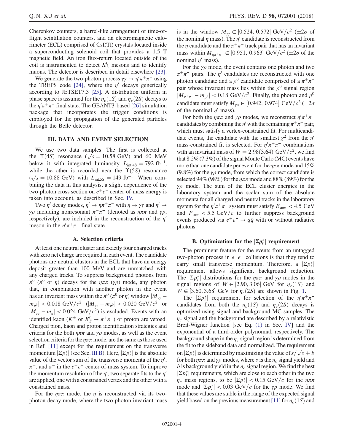Cherenkov counters, a barrel-like arrangement of time-offlight scintillation counters, and an electromagnetic calorimeter (ECL) comprised of CsI(Tl) crystals located inside a superconducting solenoid coil that provides a 1.5 T magnetic field. An iron flux-return located outside of the coil is instrumented to detect  $K<sub>L</sub><sup>0</sup>$  mesons and to identify muons. The detector is described in detail elsewhere [\[23\]](#page-16-11).

We generate the two-photon process  $\gamma \gamma \rightarrow \eta' \pi^+ \pi^-$  using the TREPS code [\[24\],](#page-16-12) where the  $\eta'$  decays generically according to JETSET7.3 [\[25\].](#page-16-13) A distribution uniform in phase space is assumed for the  $\eta_c(1S)$  and  $\eta_c(2S)$  decays to the  $\eta' \pi^+ \pi^-$  final state. The GEANT3-based [\[26\]](#page-16-14) simulation package that incorporates the trigger conditions is employed for the propagation of the generated particles through the Belle detector.

## III. DATA AND EVENT SELECTION

We use two data samples. The first is collected at the  $\Upsilon(4S)$  resonance  $(\sqrt{s} = 10.58 \text{ GeV})$  and 60 MeV below it with integrated luminosity  $L_{int,4S} = 792 \text{ fb}^{-1}$ , while the other is recorded near the  $\Upsilon(5S)$  resonance  $(\sqrt{s} = 10.88 \text{ GeV})$  with  $L_{\text{int,5S}} = 149 \text{ fb}^{-1}$ . When combining the data in this analysis, a slight dependence of the two-photon cross section on  $e^+e^-$  center-of-mass energy is taken into account, as described in Sec. [IV.](#page-4-0)

Two  $\eta'$  decay modes,  $\eta' \to \eta \pi^+ \pi^-$  with  $\eta \to \gamma \gamma$  and  $\eta' \to \eta$ γρ including nonresonant  $\pi^+\pi^-$  (denoted as  $η\pi\pi$  and γρ, respectively), are included in the reconstruction of the  $\eta'$ meson in the  $\eta' \pi^+ \pi^-$  final state.

#### A. Selection criteria

At least one neutral cluster and exactly four charged tracks with zero net charge are required in each event. The candidate photons are neutral clusters in the ECL that have an energy deposit greater than 100 MeV and are unmatched with any charged tracks. To suppress background photons from  $\pi^0$  ( $\pi^0$  or  $\eta$ ) decays for the  $\eta \pi \pi$  ( $\gamma \rho$ ) mode, any photon that, in combination with another photon in the event has an invariant mass within the  $\pi^0$  ( $\pi^0$  or  $\eta$ ) window  $|M_{\gamma\gamma}$  –  $m_{\pi^0}|$  < 0.018 GeV/ $c^2$  ( $|M_{\gamma\gamma} - m_{\pi^0}|$  < 0.020 GeV/ $c^2$  or  $|M_{\gamma\gamma} - m_{\eta}| < 0.024 \text{ GeV}/c^2$ ) is excluded. Events with an identified kaon ( $K^{\pm}$  or  $K_S^0 \rightarrow \pi^+\pi^-$ ) or proton are vetoed. Charged pion, kaon and proton identification strategies and criteria for the both  $\eta \pi \pi$  and  $\gamma \rho$  modes, as well as the event selection criteria for the  $\eta \pi \pi$  mode, are the same as those used in Ref. [\[11\]](#page-16-6) except for the requirement on the transverse momentum  $|\Sigma p_t^*|$  (see Sec. [III B](#page-3-0)). Here,  $|\Sigma p_t^*|$  is the absolute value of the vector sum of the transverse momenta of the  $\eta'$ ,  $\pi^+$ , and  $\pi^-$  in the  $e^+e^-$  center-of-mass system. To improve the momentum resolution of the  $\eta'$ , two separate fits to the  $\eta'$ are applied, one with a constrained vertex and the other with a constrained mass.

For the  $\eta \pi \pi$  mode, the  $\eta$  is reconstructed via its twophoton decay mode, where the two-photon invariant mass

is in the window  $M_{\gamma\gamma} \in [0.524, 0.572] \text{ GeV}/c^2 \ (\pm 2\sigma \text{ of})$ the nominal  $\eta$  mass). The  $\eta'$  candidate is reconstructed from the  $\eta$  candidate and the  $\pi^+\pi^-$  track pair that has an invariant mass within  $M_{\eta\pi^+\pi^-} \in [0.951, 0.963] \text{ GeV}/c^2 \text{ (}\pm 2\sigma \text{ of the})$ nominal  $\eta'$  mass).

For the  $\gamma \rho$  mode, the event contains one photon and two  $\pi^+\pi^-$  pairs. The  $\eta'$  candidates are reconstructed with one photon candidate and a  $\rho^0$  candidate comprised of a  $\pi^+\pi^$ pair whose invariant mass lies within the  $\rho^0$  signal region  $|M_{\pi^+\pi^-} - m_{\rho^0}| < 0.18$  GeV/ $c^2$ . Finally, the photon and  $\rho^0$ candidate must satisfy  $M_{\gamma\rho} \in [0.942, 0.974] \text{ GeV}/c^2 \, (\pm 2\sigma)$ of the nominal  $\eta'$  mass).

For both the  $\eta \pi \pi$  and  $\gamma \rho$  modes, we reconstruct  $\eta' \pi^+ \pi^$ candidates by combining the  $\eta'$  with the remaining  $\pi^+\pi^-$  pair, which must satisfy a vertex-constrained fit. For multicandidate events, the candidate with the smallest  $\chi^2$  from the  $\eta'$ mass-constrained fit is selected. For  $\eta' \pi^+ \pi^-$  combinations with an invariant mass of  $W = 2.98(3.64)$  GeV/ $c^2$ , we find that 8.2% (7.3%) of the signal Monte Carlo (MC) events have more than one candidate per event for the  $\eta \pi \pi$  mode and 15% (9.8%) for the  $\gamma \rho$  mode, from which the correct candidate is selected 94% (98%) for the  $\eta \pi \pi$  mode and 88% (89%) for the  $\gamma \rho$  mode. The sum of the ECL cluster energies in the laboratory system and the scalar sum of the absolute momenta for all charged and neutral tracks in the laboratory system for the  $\eta' \pi^+ \pi^-$  system must satisfy  $E_{\text{sum}} < 4.5 \text{ GeV}$ and  $P_{\text{sum}} < 5.5 \text{ GeV}/c$  to further suppress background events produced via  $e^+e^- \rightarrow q\bar{q}$  with or without radiative photons.

# B. Optimization for the  $|\Sigma p_t^*|$  requirement

<span id="page-3-0"></span>The prominent feature for the events from an untagged two-photon process in  $e^+e^-$  collisions is that they tend to carry small transverse momentum. Therefore, a  $|\Sigma p_t^*|$ requirement allows significant background reduction. The  $|\Sigma p_t^*|$  distributions for the  $\eta \pi \pi$  and  $\gamma \rho$  modes in the signal regions of  $W \in [2.90, 3.06]$  GeV for  $\eta_c(1S)$  and  $W \in [3.60, 3.68]$  GeV for  $\eta_c(2S)$  are shown in Fig. [1.](#page-4-1)

The  $|\Sigma p_i^*|$  requirement for selection of the  $\eta^{\prime}\pi^+\pi^$ candidates from both the  $\eta_c(1S)$  and  $\eta_c(2S)$  decays is optimized using signal and background MC samples. The  $\eta_c$  signal and the background are described by a relativistic Breit-Wigner function [see Eq. [\(1\)](#page-4-2) in Sec. [IV\]](#page-4-0) and the exponential of a third-order polynomial, respectively. The background shape in the  $\eta_c$  signal region is determined from the fit to the sideband data and normalized. The requirement on  $|\Sigma p_t^*|$  is determined by maximizing the value of  $s/\sqrt{s+b}$ for both  $\eta \pi \pi$  and  $\gamma \rho$  modes, where s is the  $\eta_c$  signal yield and b is background yield in the  $\eta_c$  signal region. We find the best  $|\Sigma p_t^*|$  requirements, which are close to each other in the two  $\eta_c$  mass regions, to be  $|\Sigma p_t^*| < 0.15$  GeV/c for the  $\eta \pi \pi$ mode and  $|\Sigma p_t^*| < 0.03$  GeV/c for the  $\gamma \rho$  mode. We find that these values are stable in the range of the expected signal yield based on the previous measurement [\[11\]](#page-16-6) for  $\eta_c(1S)$  and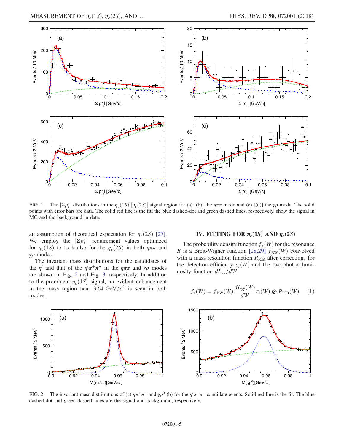<span id="page-4-1"></span>

FIG. 1. The  $|\Sigma p_t^*|$  distributions in the  $\eta_c(1S)$   $[\eta_c(2S)]$  signal region for (a) [(b)] the  $\eta\pi\pi$  mode and (c) [(d)] the  $\gamma\rho$  mode. The solid points with error bars are data. The solid red line is the fit; the blue dashed-dot and green dashed lines, respectively, show the signal in MC and the background in data.

an assumption of theoretical expectation for  $\eta_c(2S)$  [\[27\]](#page-16-15). We employ the  $|\Sigma p_t^*|$  requirement values optimized for  $\eta_c(1S)$  to look also for the  $\eta_c(2S)$  in both  $\eta \pi \pi$  and γρ modes.

The invariant mass distributions for the candidates of the  $\eta'$  and that of the  $\eta'\pi^+\pi^-$  in the  $\eta\pi\pi$  and  $\gamma\rho$  modes are shown in Fig. [2](#page-4-3) and Fig. [3,](#page-5-0) respectively. In addition to the prominent  $\eta_c(1S)$  signal, an evident enhancement in the mass region near 3.64 GeV/ $c^2$  is seen in both modes.

#### IV. FITTING FOR  $\eta_c(1S)$  AND  $\eta_c(2S)$

<span id="page-4-0"></span>The probability density function  $f_s(W)$  for the resonance R is a Breit-Wigner function [\[28,29\]](#page-16-16)  $f_{BW}(W)$  convolved with a mass-resolution function  $R_{\text{ICB}}$  after corrections for the detection efficiency  $\epsilon_i(W)$  and the two-photon luminosity function  $dL_{\gamma\gamma}/dW$ :

<span id="page-4-2"></span>
$$
f_{\rm s}(W) = f_{\rm BW}(W) \frac{dL_{\gamma\gamma}(W)}{dW} \epsilon_i(W) \otimes R_{\rm ICB}(W). \quad (1)
$$

<span id="page-4-3"></span>

FIG. 2. The invariant mass distributions of (a)  $\eta \pi^+ \pi^-$  and  $\gamma \rho^0$  (b) for the  $\eta^{\prime} \pi^+ \pi^-$  candidate events. Solid red line is the fit. The blue dashed-dot and green dashed lines are the signal and background, respectively.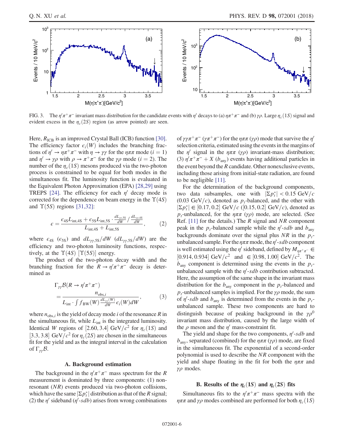<span id="page-5-0"></span>

FIG. 3. The  $\eta' \pi^+ \pi^-$  invariant mass distribution for the candidate events with  $\eta'$  decays to (a)  $\eta \pi^+ \pi^-$  and (b)  $\gamma \rho$ . Large  $\eta_c(1S)$  signal and evident excess in the  $\eta_c(2S)$  region (as arrow pointed) are seen.

Here,  $R_{\text{ICB}}$  is an improved Crystal Ball (ICB) function [\[30\]](#page-16-17). The efficiency factor  $\epsilon_i(W)$  includes the branching fractions of  $\eta' \to \eta \pi^+ \pi^-$  with  $\eta \to \gamma \gamma$  for the  $\eta \pi \pi$  mode  $(i = 1)$ and  $\eta' \to \gamma \rho$  with  $\rho \to \pi^+ \pi^-$  for the  $\gamma \rho$  mode (i = 2). The number of the  $\eta_c(1S)$  mesons produced via the two-photon process is constrained to be equal for both modes in the simultaneous fit. The luminosity function is evaluated in the Equivalent Photon Approximation (EPA) [\[28,29\]](#page-16-16) using TREPS [\[24\]](#page-16-12). The efficiency for each  $\eta'$  decay mode is corrected for the dependence on beam energy in the  $\Upsilon(4S)$ and  $\Upsilon(5S)$  regions [\[31,32\]:](#page-16-18)

$$
\epsilon = \frac{\epsilon_{4S}L_{\text{int,4S}} + \epsilon_{5S}L_{\text{int,5S}} \cdot \frac{dL_{\gamma/5S}}{dW} / \frac{dL_{\gamma/4S}}{dW}}{L_{\text{int,4S}} + L_{\text{int,5S}}},\tag{2}
$$

where  $\epsilon_{4S}$  ( $\epsilon_{5S}$ ) and  $dL_{\gamma\gamma,5S}/dW$  ( $dL_{\gamma\gamma,5S}/dW$ ) are the efficiency and two-photon luminosity functions, respectively, at the  $\Upsilon(4S)$   $[\Upsilon(5S)]$  energy.

<span id="page-5-1"></span>The product of the two-photon decay width and the branching fraction for the  $R \to \eta^{\prime} \pi^+ \pi^-$  decay is determined as

$$
\Gamma_{\gamma\gamma}\mathcal{B}(R \to \eta'\pi^+\pi^-)
$$
\n
$$
= \frac{n_{\text{obs},i}}{L_{\text{int}} \cdot \int f_{\text{BW}}(W) \frac{dL_{\gamma\gamma}(W)}{dW} \epsilon_i(W) dW},
$$
\n(3)

where  $n_{obs,i}$  is the yield of decay mode i of the resonance R in the simultaneous fit, while  $L_{int}$  is the integrated luminosity. Identical W regions of [2.60, 3.4] GeV/ $c^2$  for  $\eta_c(1S)$  and [3.3, 3.8] GeV/ $c^2$  for  $\eta_c(2S)$  are chosen in the simultaneous fit for the yield and as the integral interval in the calculation of  $\Gamma_{\gamma\gamma}B$ .

#### A. Background estimation

The background in the  $\eta^{\prime}\pi^+\pi^-$  mass spectrum for the R measurement is dominated by three components: (1) nonresonant (NR) events produced via two-photon collisions, which have the same  $|\Sigma p_t^*|$  distribution as that of the R signal; (2) the  $\eta'$  sideband ( $\eta'$ -sdb) arises from wrong combinations of γγπ<sup>+</sup>π<sup>−</sup> (γπ<sup>+</sup>π<sup>−</sup>) for the ηππ (γρ) mode that survive the η' selection criteria, estimated using the events in the margins of the  $\eta'$  signal in the  $\eta \pi \pi$  ( $\gamma \rho$ ) invariant-mass distribution; (3)  $\eta' \pi^+ \pi^- + X$  ( $b_{\text{any}}$ ) events having additional particles in the event beyond the  $R$  candidate. Other nonexclusive events, including those arising from initial-state radiation, are found to be negligible [\[11\]](#page-16-6).

For the determination of the background components, two data subsamples, one with  $|\Sigma p_i^*| < 0.15 \text{ GeV}/c$ (0.03 GeV/c), denoted as  $p_t$ -balanced, and the other with  $|\Sigma p_t^*| \in [0.17, 0.2] \text{ GeV}/c \text{ } ([0.15, 0.2] \text{ GeV}/c)$ , denoted as  $p_t$ -unbalanced, for the  $\eta \pi \pi$  (γρ) mode, are selected. (See Ref.  $[11]$  for the details.) The R signal and NR component peak in the  $p_t$ -balanced sample while the  $\eta'$ -sdb and  $b_{\text{any}}$ backgrounds dominate over the signal plus NR in the  $p_t$ unbalanced sample. For the  $\eta \pi \pi$  mode, the  $\eta'$ -sdb component is well estimated using the  $\eta'$  sideband, defined by  $M_{\eta\pi^+\pi^-} \in$ [0.914, 0.934] GeV/ $c^2$  and  $\in$  [0.98, 1.00] GeV/ $c^2$ . The  $b<sub>any</sub>$  component is determined using the events in the  $p<sub>t</sub>$ unbalanced sample with the  $\eta'$ -sdb contribution subtracted. Here, the assumption of the same shape in the invariant mass distribution for the  $b_{\text{anv}}$  component in the  $p_t$ -balanced and  $p_t$ -unbalanced samples is implied. For the  $\gamma \rho$  mode, the sum of  $\eta'$ -sdb and  $b_{\text{any}}$  is determined from the events in the  $p_t$ unbalanced sample. These two components are hard to distinguish because of peaking background in the  $\gamma \rho^0$ invariant mass distribution, caused by the large width of the  $\rho$  meson and the  $\eta'$  mass-constraint fit.

The yield and shape for the two components,  $\eta'$ -sdb and  $b<sub>any</sub>$ , separated (combined) for the  $\eta \pi \pi$  ( $\gamma \rho$ ) mode, are fixed in the simultaneous fit. The exponential of a second-order polynomial is used to describe the NR component with the yield and shape floating in the fit for both the  $\eta \pi \pi$  and  $γρ$  modes.

# B. Results of the  $\eta_c(1S)$  and  $\eta_c(2S)$  fits

Simultaneous fits to the  $\eta^{\prime}\pi^{+}\pi^{-}$  mass spectra with the  $\eta \pi \pi$  and  $\gamma \rho$  modes combined are performed for both  $\eta_c(1S)$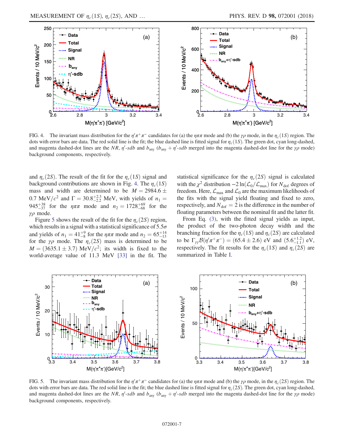<span id="page-6-0"></span>

FIG. 4. The invariant mass distribution for the  $\eta/\pi^+\pi^-$  candidates for (a) the  $\eta\pi\pi$  mode and (b) the  $\gamma\rho$  mode, in the  $\eta_c(1S)$  region. The dots with error bars are data. The red solid line is the fit; the blue dashed line is fitted signal for  $\eta_c(1S)$ . The green dot, cyan long-dashed, and magenta dashed-dot lines are the NR,  $\eta'$ -sdb and  $b_{\text{any}}$  ( $b_{\text{any}} + \eta'$ -sdb merged into the magenta dashed-dot line for the  $\gamma \rho$  mode) background components, respectively.

and  $\eta_c(2S)$ . The result of the fit for the  $\eta_c(1S)$  signal and background contributions are shown in Fig. [4](#page-6-0). The  $\eta_c(1S)$ mass and width are determined to be  $M = 2984.6 \pm$ 0.7 MeV/ $c^2$  and  $\Gamma = 30.8^{+2.3}_{-2.2}$  MeV, with yields of  $n_1 =$ 945<sup>+38</sup> for the  $\eta \pi \pi$  mode and  $n_2 = 1728^{+69}_{-68}$  for the γρ mode.

Figure [5](#page-6-1) shows the result of the fit for the  $\eta_c(2S)$  region, which results in a signal with a statistical significance of  $5.5\sigma$ and yields of  $n_1 = 41^{+9}_{-8}$  for the  $\eta \pi \pi$  mode and  $n_2 = 65^{+14}_{-13}$ for the  $\gamma \rho$  mode. The  $\eta_c(2S)$  mass is determined to be  $M = (3635.1 \pm 3.7) \text{ MeV}/c^2$ ; its width is fixed to the world-average value of 11.3 MeV [\[33\]](#page-16-19) in the fit. The statistical significance for the  $\eta_c(2S)$  signal is calculated with the  $\chi^2$  distribution  $-2 \ln(\mathcal{L}_0/\mathcal{L}_{\text{max}})$  for  $N_{\text{dof}}$  degrees of freedom. Here,  $\mathcal{L}_{\text{max}}$  and  $\mathcal{L}_0$  are the maximum likelihoods of the fits with the signal yield floating and fixed to zero, respectively, and  $N_{\text{dof}} = 2$  is the difference in the number of floating parameters between the nominal fit and the latter fit.

From Eq. [\(3\),](#page-5-1) with the fitted signal yields as input, the product of the two-photon decay width and the branching fraction for the  $\eta_c(1S)$  and  $\eta_c(2S)$  are calculated to be  $\Gamma_{\gamma\gamma} B(\eta' \pi^+ \pi^-) = (65.4 \pm 2.6)$  eV and  $(5.6^{+1.2}_{-1.1})$  eV, respectively. The fit results for the  $\eta_c(1S)$  and  $\eta_c(2S)$  are summarized in Table [I.](#page-7-0)

<span id="page-6-1"></span>

FIG. 5. The invariant mass distribution for the  $\eta^{\prime}\pi^+\pi^-$  candidates for (a) the  $\eta\pi\pi$  mode and (b) the  $\gamma\rho$  mode, in the  $\eta_c(2S)$  region. The dots with error bars are data. The red solid line is the fit; the blue dashed line is fitted signal for  $\eta_c(2S)$ . The green dot, cyan long-dashed, and magenta dashed-dot lines are the NR,  $\eta'$ -sdb and  $b_{\text{any}}$  ( $b_{\text{any}} + \eta'$ -sdb merged into the magenta dashed-dot line for the  $\gamma \rho$  mode) background components, respectively.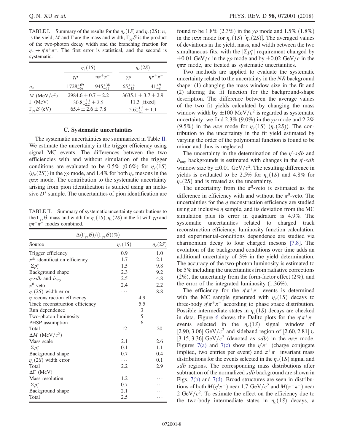<span id="page-7-0"></span>TABLE I. Summary of the results for the  $\eta_c(1S)$  and  $\eta_c(2S)$ :  $n_s$ is the yield; M and  $\Gamma$  are the mass and width;  $\Gamma_{\nu\nu}B$  is the product of the two-photon decay width and the branching fraction for  $\eta_c \to \eta' \pi^+ \pi^-$ . The first error is statistical, and the second is systematic.

|                                |                    | $\eta_c(1S)$                 |                  | $\eta_c(2S)$                |  |
|--------------------------------|--------------------|------------------------------|------------------|-----------------------------|--|
|                                | γρ                 | $\eta \pi^+ \pi^-$           | γρ               | $n\pi^+\pi^-$               |  |
| $n_{\rm s}$                    | $1728^{+69}_{-68}$ | $945^{+38}_{-37}$            | $65^{+14}_{-13}$ | $41^{+9}_{-8}$              |  |
| M (MeV/ $c^2$ )                |                    | $2984.6 \pm 0.7 \pm 2.2$     |                  | $3635.1 \pm 3.7 \pm 2.9$    |  |
| $\Gamma$ (MeV)                 |                    | $30.8^{+2.3}_{-2.2} \pm 2.5$ |                  | $11.3$ [fixed]              |  |
| $\Gamma_{\gamma\gamma}$ B (eV) |                    | $65.4 \pm 2.6 \pm 7.8$       |                  | $5.6^{+1.2}_{-1.1} \pm 1.1$ |  |

#### C. Systematic uncertainties

The systematic uncertainties are summarized in Table [II](#page-7-1). We estimate the uncertainty in the trigger efficiency using signal MC events. The differences between the two efficiencies with and without simulation of the trigger conditions are evaluated to be 0.5% (0.6%) for  $\eta_c(1S)$  $(\eta_c(2S))$  in the  $\gamma \rho$  mode, and 1.4% for both  $\eta_c$  mesons in the  $\eta \pi \pi$  mode. The contribution to the systematic uncertainty arising from pion identification is studied using an inclusive  $D^*$  sample. The uncertainties of pion identification are

<span id="page-7-1"></span>TABLE II. Summary of systematic uncertainty contributions to the  $\Gamma_{\gamma\gamma}$ B, mass and width for  $\eta_c(1S)$ ,  $\eta_c(2S)$  in the fit with  $\gamma\rho$  and  $\eta \pi^+ \pi^-$  modes combined.

| $\Delta(\Gamma_{\gamma\gamma}\mathcal{B})/(\Gamma_{\gamma\gamma}\mathcal{B})(\%)$ |              |     |              |  |
|-----------------------------------------------------------------------------------|--------------|-----|--------------|--|
| Source                                                                            | $\eta_c(1S)$ |     | $\eta_c(2S)$ |  |
| Trigger efficiency                                                                | 0.9          |     | 1.0          |  |
| $\pi^{\pm}$ identification efficiency                                             | 1.7          |     | 2.1          |  |
| $ \Sigma p_t^* $                                                                  | 1.5          |     | 9.8          |  |
| Background shape                                                                  | 2.3          |     | 9.2          |  |
| $\eta$ -sdb and $b_{\text{anv}}$                                                  | 2.5          |     | 4.8          |  |
| $\pi^0$ -veto                                                                     | 2.4          |     | 2.2          |  |
| $\eta_c(2S)$ width error                                                          | .            |     | 8.8          |  |
| $\eta$ reconstruction efficiency                                                  |              | 4.9 |              |  |
| Track reconstruction efficiency                                                   |              | 5.5 |              |  |
| Run dependence                                                                    |              | 3   |              |  |
| Two-photon luminosity                                                             |              | 5   |              |  |
| PHSP assumption                                                                   |              | 6   |              |  |
| Total                                                                             | 12           |     | 20           |  |
| $\Delta M$ (MeV/ $c^2$ )                                                          |              |     |              |  |
| Mass scale                                                                        | 2.1          |     | 2.6          |  |
| $ \Sigma p_t^* $                                                                  | 0.1          |     | 1.1          |  |
| Background shape                                                                  | 0.7          |     | 0.4          |  |
| $\eta_c(2S)$ width error                                                          | .            |     | 0.1          |  |
| Total                                                                             | 2.2          |     | 2.9          |  |
| $\Delta \Gamma$ (MeV)                                                             |              |     |              |  |
| Mass resolution                                                                   | 1.2          |     |              |  |
| $ \Sigma p_t^* $                                                                  | 0.7          |     |              |  |
| Background shape                                                                  | 2.1          |     |              |  |
| Total                                                                             | 2.5          |     |              |  |

found to be 1.8%  $(2.3\%)$  in the  $\gamma \rho$  mode and 1.5%  $(1.8\%)$ in the  $\eta \pi \pi$  mode for  $\eta_c(1S)$   $[\eta_c(2S)]$ . The averaged values of deviations in the yield, mass, and width between the two simultaneous fits, with the  $|\Sigma p_t^*|$  requirement changed by  $\pm 0.01$  GeV/c in the  $\gamma \rho$  mode and by  $\pm 0.02$  GeV/c in the  $\eta \pi \pi$  mode, are treated as systematic uncertainties.

Two methods are applied to evaluate the systematic uncertainty related to the uncertainty in the NR background shape: (1) changing the mass window size in the fit and (2) altering the fit function for the background-shape description. The difference between the average values of the two fit yields calculated by changing the mass window width by  $\pm 100 \text{ MeV}/c^2$  is regarded as systematic uncertainty: we find 2.3% (9.0%) in the  $\gamma \rho$  mode and 2.2% (9.5%) in the  $\eta \pi \pi$  mode for  $\eta_c(1S)$  ( $\eta_c(2S)$ ). The contribution to the uncertainty in the fit yield estimated by varying the order of the polynomial function is found to be minor and thus is neglected.

The uncertainty in the determination of the  $\eta'$ -sdb and  $b<sub>any</sub>$  backgrounds is estimated with changes in the  $\eta'$ -sdb window size by  $\pm 0.01$  GeV/ $c^2$ . The resulting difference in yields is evaluated to be 2.5% for  $\eta_c(1S)$  and 4.8% for  $\eta_c(2S)$  and is treated as the uncertainty.

The uncertainty from the  $\pi^0$ -veto is estimated as the difference in efficiency with and without the  $\pi^0$ -veto. The uncertainties for the  $\eta$  reconstruction efficiency are studied using an inclusive  $\eta$  sample, and its deviation from the MC simulation plus its error in quadrature is 4.9%. The systematic uncertainties related to charged track reconstruction efficiency, luminosity function calculation, and experimental-conditions dependence are studied via charmonium decay to four charged mesons [\[7,8\]](#page-16-20). The evolution of the background conditions over time adds an additional uncertainty of 3% in the yield determination. The accuracy of the two-photon luminosity is estimated to be 5% including the uncertainties from radiative corrections (2%), the uncertainty from the form-factor effect (2%), and the error of the integrated luminosity (1.36%).

The efficiency for the  $\eta/\pi^+\pi^-$  events is determined with the MC sample generated with  $\eta_c(1S)$  decays to three-body  $\eta' \pi^+ \pi^-$  according to phase space distribution. Possible intermediate states in  $\eta_c(1S)$  decays are checked in data. Figure [6](#page-8-0) shows the Dalitz plots for the  $\eta^{\prime}\pi^+\pi^$ events selected in the  $\eta_c(1S)$  signal window of [2.90, 3.06] GeV/ $c^2$  and sideband region of [2.60, 2.81] ∪ [3.15, 3.36] GeV/ $c^2$  (denoted as sdb) in the  $\eta \pi \pi$  mode. Figures [7\(a\)](#page-8-1) and [7\(c\)](#page-8-1) show the  $\eta/\pi$ <sup>+</sup> (charge conjugate implied, two entries per event) and  $\pi^+\pi^-$  invariant mass distributions for the events selected in the  $\eta_c(1S)$  signal and sdb regions. The corresponding mass distributions after subtraction of the normalized sdb background are shown in Figs. [7\(b\)](#page-8-1) and [7\(d\)](#page-8-1). Broad structures are seen in distributions of both  $M(\eta'\pi^+)$  near 1.7 GeV/ $c^2$  and  $M(\pi^+\pi^-)$  near 2 GeV/ $c^2$ . To estimate the effect on the efficiency due to the two-body intermediate states in  $\eta_c(1S)$  decays, a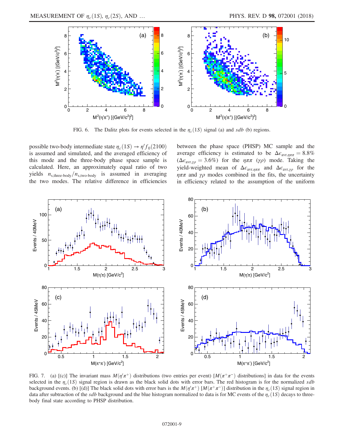<span id="page-8-0"></span>

FIG. 6. The Dalitz plots for events selected in the  $\eta_c(1S)$  signal (a) and sdb (b) regions.

possible two-body intermediate state  $\eta_c(1S) \to \eta' f_0(2100)$ is assumed and simulated, and the averaged efficiency of this mode and the three-body phase space sample is calculated. Here, an approximately equal ratio of two yields  $n_{\text{s,three-body}}/n_{\text{s,two-body}}$  is assumed in averaging the two modes. The relative difference in efficiencies

between the phase space (PHSP) MC sample and the average efficiency is estimated to be  $\Delta \epsilon_{\text{avr},\eta\pi\pi} = 8.8\%$  $(\Delta \epsilon_{\text{avr},\gamma\rho} = 3.6\%)$  for the  $\eta \pi \pi$  (γρ) mode. Taking the yield-weighted mean of  $\Delta \epsilon_{\text{avr},\eta\pi\pi}$  and  $\Delta \epsilon_{\text{avr},\gamma\rho}$  for the  $\eta \pi \pi$  and  $\gamma \rho$  modes combined in the fits, the uncertainty in efficiency related to the assumption of the uniform

<span id="page-8-1"></span>

FIG. 7. (a) [(c)] The invariant mass  $M(\eta/\pi^+)$  distributions (two entries per event)  $[M(\pi^+\pi^-)]$  distributions] in data for the events selected in the  $\eta_c(1S)$  signal region is drawn as the black solid dots with error bars. The red histogram is for the normalized sdb background events. (b) [(d)] The black solid dots with error bars is the  $M(\eta'\pi^+)$  [ $M(\pi^+\pi^-)$ ] distribution in the  $\eta_c(1S)$  signal region in data after subtraction of the sdb background and the blue histogram normalized to data is for MC events of the  $\eta_c(1S)$  decays to threebody final state according to PHSP distribution.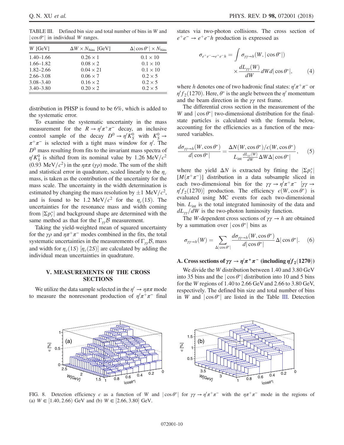<span id="page-9-0"></span>TABLE III. Defined bin size and total number of bins in W and  $|\cos \theta^*|$  in individual W ranges.

| $W$ [GeV]     | $\Delta W \times N_{\rm bins}$ [GeV] | $\Delta  \cos \theta^*  \times N_{\text{bins}}$ |
|---------------|--------------------------------------|-------------------------------------------------|
| $1.40 - 1.66$ | $0.26 \times 1$                      | $0.1 \times 10$                                 |
| $1.66 - 1.82$ | $0.08 \times 2$                      | $0.1 \times 10$                                 |
| $1.82 - 2.66$ | $0.04 \times 21$                     | $0.1 \times 10$                                 |
| $2.66 - 3.08$ | $0.06 \times 7$                      | $0.2 \times 5$                                  |
| $3.08 - 3.40$ | $0.16 \times 2$                      | $0.2 \times 5$                                  |
| $3.40 - 3.80$ | $0.20 \times 2$                      | $0.2 \times 5$                                  |

distribution in PHSP is found to be 6%, which is added to the systematic error.

To examine the systematic uncertainty in the mass measurement for the  $R \to \eta' \pi^+ \pi^-$  decay, an inclusive control sample of the decay  $D^0 \rightarrow \eta' K^0_S$  with  $K^0_S \rightarrow$  $\pi^+\pi^-$  is selected with a tight mass window for  $\eta'$ . The  $D<sup>0</sup>$  mass resulting from fits to the invariant mass spectra of  $\eta' K_S^0$  is shifted from its nominal value by 1.26 MeV/ $c^2$ (0.93 MeV/ $c^2$ ) in the  $\eta \pi \pi$  ( $\gamma \rho$ ) mode. The sum of the shift and statistical error in quadrature, scaled linearly to the  $\eta_c$ mass, is taken as the contribution of the uncertainty for the mass scale. The uncertainty in the width determination is estimated by changing the mass resolution by  $\pm 1 \text{ MeV}/c^2$ , and is found to be 1.2 MeV/ $c^2$  for the  $\eta_c(1S)$ . The uncertainties for the resonance mass and width coming from  $|\Sigma p_t^*|$  and background shape are determined with the same method as that for the  $\Gamma_{\gamma\gamma}B$  measurement.

Taking the yield-weighted mean of squared uncertainty for the  $\gamma \rho$  and  $\eta \pi^+ \pi^-$  modes combined in the fits, the total systematic uncertainties in the measurements of  $\Gamma_{\gamma}$ B, mass and width for  $\eta_c(1S)$   $[\eta_c(2S)]$  are calculated by adding the individual mean uncertainties in quadrature.

#### V. MEASUREMENTS OF THE CROSS SECTIONS

We utilize the data sample selected in the  $\eta' \to \eta \pi \pi$  mode to measure the nonresonant production of  $\eta/\pi^+\pi^-$  final states via two-photon collisions. The cross section of  $e^+e^- \rightarrow e^+e^-h$  production is expressed as

$$
\sigma_{e^+e^- \to e^+e^-h} = \int \sigma_{\gamma\gamma \to h}(W, |\cos \theta^*|)
$$

$$
\times \frac{dL_{\gamma\gamma}(W)}{dW} dWd |\cos \theta^*|, \qquad (4)
$$

where h denotes one of two hadronic final states:  $\eta' \pi^+ \pi^-$  or  $\eta' f_2(1270)$ . Here,  $\theta^*$  is the angle between the  $\eta'$  momentum and the beam direction in the  $\gamma\gamma$  rest frame.

The differential cross section in the measurement of the W and  $|\cos \theta^*|$  two-dimensional distribution for the finalstate particles is calculated with the formula below, accounting for the efficiencies as a function of the measured variables.

<span id="page-9-2"></span>
$$
\frac{d\sigma_{\gamma\gamma\to h}(W,\cos\theta^*)}{d|\cos\theta^*|} = \frac{\Delta N(W,\cos\theta^*)/\epsilon(W,\cos\theta^*)}{L_{\text{int}}\frac{dL_{\gamma\gamma}(W)}{dW}\Delta W\Delta|\cos\theta^*|},\qquad(5)
$$

where the yield  $\Delta N$  is extracted by fitting the  $|\Sigma p_t^*|$  $[M(\pi^+\pi^-)]$  distribution in a data subsample sliced in each two-dimensional bin for the  $\gamma \gamma \to \eta' \pi^+ \pi^-$  [ $\gamma \gamma \to$  $\eta' f_2(1270)$ ] production. The efficiency  $\epsilon(W, \cos \theta^*)$  is evaluated using MC events for each two-dimensional bin.  $L_{int}$  is the total integrated luminosity of the data and  $dL_{\gamma\gamma}/dW$  is the two-photon luminosity function.

The W-dependent cross sections of  $\gamma \gamma \rightarrow h$  are obtained by a summation over  $|\cos \theta^*|$  bins as

$$
\sigma_{\gamma\gamma \to h}(W) = \sum_{\Delta |\cos \theta^*|} \frac{d\sigma_{\gamma\gamma \to h}(W, \cos \theta^*)}{d|\cos \theta^*|} \Delta |\cos \theta^*|.
$$
 (6)

# A. Cross sections of  $\gamma \gamma \to \eta' \pi^+ \pi^-$  (including  $\eta' f_2(1270)$ )

We divide the W distribution between 1.40 and 3.80 GeV into 35 bins and the  $|\cos \theta^*|$  distribution into 10 and 5 bins for the W regions of 1.40 to 2.66 GeVand 2.66 to 3.80 GeV, respectively. The defined bin size and total number of bins in W and  $|\cos \theta^*|$  are listed in the Table [III](#page-9-0). Detection

<span id="page-9-1"></span>

FIG. 8. Detection efficiency  $\epsilon$  as a function of W and  $|\cos \theta^*|$  for  $\gamma \gamma \to \eta' \pi^+ \pi^-$  with the  $\eta \pi^+ \pi^-$  mode in the regions of (a)  $W \in [1.40, 2.66)$  GeV and (b)  $W \in [2.66, 3.80]$  GeV.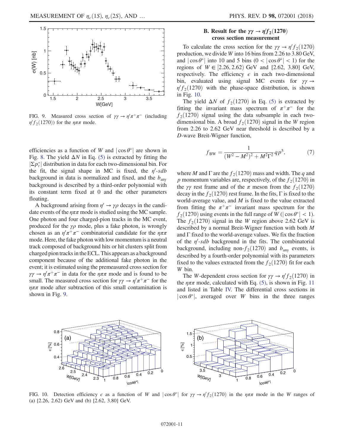<span id="page-10-0"></span>

FIG. 9. Measured cross section of  $\gamma \gamma \to \eta' \pi^+ \pi^-$  (including  $\eta' f_2(1270)$  for the  $\eta \pi \pi$  mode.

efficiencies as a function of W and  $|\cos \theta^*|$  are shown in Fig. [8](#page-9-1). The yield  $\Delta N$  in Eq. [\(5\)](#page-9-2) is extracted by fitting the  $|\Sigma p_t^*|$  distribution in data for each two-dimensional bin. For the fit, the signal shape in MC is fixed, the  $\eta'$ -sdb background in data is normalized and fixed, and the  $b<sub>any</sub>$ background is described by a third-order polynomial with its constant term fixed at 0 and the other parameters floating.

A background arising from  $\eta' \rightarrow \gamma \rho$  decays in the candidate events of the  $\eta \pi \pi$  mode is studied using the MC sample. One photon and four charged-pion tracks in the MC event, produced for the  $\gamma \rho$  mode, plus a fake photon, is wrongly chosen as an  $\eta' \pi^+ \pi^-$  combinatorial candidate for the  $\eta \pi \pi$ mode. Here, the fake photon with low momentum is a neutral track composed of background hits or hit clusters split from charged pion tracks in the ECL. This appears as a background component because of the additional fake photon in the event; it is estimated using the premeasured cross section for  $\gamma \gamma \rightarrow \eta' \pi^+ \pi^-$  in data for the  $\eta \pi \pi$  mode and is found to be small. The measured cross section for  $\gamma \gamma \to \eta' \pi^+ \pi^-$  for the  $\eta \pi \pi$  mode after subtraction of this small contamination is shown in Fig. [9.](#page-10-0)

# **B.** Result for the  $\gamma\gamma \to \eta' f_2(1270)$ cross section measurement

To calculate the cross section for the  $\gamma \gamma \to \eta' f_2(1270)$ production, we divide W into 16 bins from 2.26 to 3.80 GeV, and  $|\cos \theta^*|$  into 10 and 5 bins  $(0 < |\cos \theta^*| < 1)$  for the regions of  $W \in [2.26, 2.62)$  GeV and  $[2.62, 3.80]$  GeV, respectively. The efficiency  $\epsilon$  in each two-dimensional bin, evaluated using signal MC events for  $\gamma \gamma \rightarrow$  $\eta' f_2(1270)$  with the phase-space distribution, is shown in Fig. [10.](#page-10-1)

The yield  $\Delta N$  of  $f_2(1270)$  in Eq. [\(5\)](#page-9-2) is extracted by fitting the invariant mass spectrum of  $\pi^+\pi^-$  for the  $f_2(1270)$  signal using the data subsample in each twodimensional bin. A broad  $f_2(1270)$  signal in the W region from 2.26 to 2.62 GeV near threshold is described by a D-wave Breit-Wigner function,

$$
f_{\rm BW} = \frac{1}{(W^2 - M^2)^2 + M^2 \Gamma^2} q p^5, \tag{7}
$$

where M and  $\Gamma$  are the  $f_2(1270)$  mass and width. The q and p momentum variables are, respectively, of the  $f_2(1270)$  in the  $\gamma\gamma$  rest frame and of the  $\pi$  meson from the  $f_2(1270)$ decay in the  $f_2(1270)$  rest frame. In the fits, Γ is fixed to the world-average value, and  $M$  is fixed to the value extracted from fitting the  $\pi^+\pi^-$  invariant mass spectrum for the  $f_2(1270)$  using events in the full range of W ( $|\cos \theta^*|$  < 1). The  $f_2(1270)$  signal in the W region above 2.62 GeV is described by a normal Breit-Wigner function with both M and  $\Gamma$  fixed to the world-average values. We fix the fraction of the  $\eta'$ -sdb background in the fits. The combinatorial background, including non- $f_2(1270)$  and  $b_{\text{any}}$  events, is described by a fourth-order polynomial with its parameters fixed to the values extracted from the  $f_2(1270)$  fit for each W bin.

The W-dependent cross section for  $\gamma \gamma \to \eta' f_2(1270)$  in the  $\eta \pi \pi$  mode, calculated with Eq. [\(5\),](#page-9-2) is shown in Fig. [11](#page-11-0) and listed in Table [IV.](#page-12-0) The differential cross sections in  $|\cos \theta^*|$ , averaged over W bins in the three ranges

<span id="page-10-1"></span>

FIG. 10. Detection efficiency  $\epsilon$  as a function of W and  $|\cos \theta^*|$  for  $\gamma \gamma \to \eta' f_2(1270)$  in the  $\eta \pi \pi$  mode in the W ranges of (a) [2.26, 2.62) GeV and (b) [2.62, 3.80] GeV.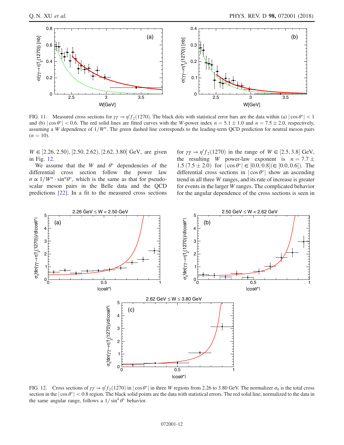<span id="page-11-0"></span>

FIG. 11. Measured cross sections for  $\gamma\gamma \to \eta' f_2(1270)$ . The black dots with statistical error bars are the data within (a)  $|\cos \theta^*| < 1$ and (b)  $|\cos \theta^*|$  < 0.6. The red solid lines are fitted curves with the W-power index  $n = 5.1 \pm 1.0$  and  $n = 7.5 \pm 2.0$ , respectively, assuming a W dependence of  $1/W^n$ . The green dashed line corresponds to the leading-term QCD prediction for neutral meson pairs  $(n = 10)$ .

 $W \in [2.26, 2.50), [2.50, 2.62), [2.62, 3.80]$  GeV, are given in Fig. [12](#page-11-1).

We assume that the W and  $\theta^*$  dependencies of the differential cross section follow the power law  $\sigma \propto 1/W^n \cdot \sin^{\alpha}\theta^*$ , which is the same as that for pseudoscalar meson pairs in the Belle data and the QCD predictions [\[22\].](#page-16-10) In a fit to the measured cross sections

for  $\gamma \gamma \to \eta' f_2(1270)$  in the range of  $W \in [2.5, 3.8]$  GeV, the resulting W power-law exponent is  $n = 7.7 \pm$  $1.5 (7.5 \pm 2.0)$  for  $|\cos \theta^*| \in [0.0, 0.8] \in [0.0, 0.6]$ . The differential cross sections in  $|\cos \theta^*|$  show an ascending trend in all three W ranges, and its rate of increase is greater for events in the larger W ranges. The complicated behavior for the angular dependence of the cross sections is seen in

<span id="page-11-1"></span>

FIG. 12. Cross sections of  $\gamma \gamma \to \eta' f_2(1270)$  in  $|\cos \theta^*|$  in three W regions from 2.26 to 3.80 GeV. The normalizer  $\sigma_0$  is the total cross section in the  $|\cos \theta^*|$  < 0.8 region. The black solid points are the data with statistical errors. The red solid line, normalized to the data in the same angular range, follows a  $1/\sin^4 \theta^*$  behavior.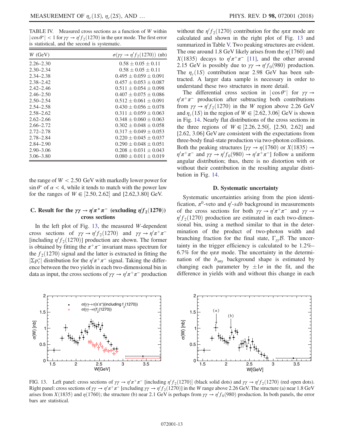<span id="page-12-0"></span>TABLE IV. Measured cross sections as a function of W within  $|\cos \theta^*|$  < 1 for  $\gamma \gamma \rightarrow \eta' f_2(1270)$  in the  $\eta \pi \pi$  mode. The first error is statistical, and the second is systematic.

| $W$ (GeV)     | $\sigma(\gamma\gamma \to \eta' f_2(1270))$ (nb) |
|---------------|-------------------------------------------------|
| $2.26 - 2.30$ | $0.58 \pm 0.05 \pm 0.11$                        |
| $2.30 - 2.34$ | $0.58 \pm 0.05 \pm 0.11$                        |
| $2.34 - 2.38$ | $0.495 + 0.059 + 0.091$                         |
| $2.38 - 2.42$ | $0.457 + 0.053 + 0.087$                         |
| $2.42 - 2.46$ | $0.511 + 0.054 + 0.098$                         |
| $2.46 - 2.50$ | $0.407 + 0.075 + 0.086$                         |
| $2.50 - 2.54$ | $0.512 \pm 0.061 \pm 0.091$                     |
| $2.54 - 2.58$ | $0.430 + 0.056 + 0.078$                         |
| $2.58 - 2.62$ | $0.311 \pm 0.059 \pm 0.063$                     |
| $2.62 - 2.66$ | $0.348 + 0.060 + 0.063$                         |
| $2.66 - 2.72$ | $0.302 + 0.048 + 0.058$                         |
| $2.72 - 2.78$ | $0.317 + 0.049 + 0.053$                         |
| 2.78–2.84     | $0.220 \pm 0.045 \pm 0.037$                     |
| $2.84 - 2.90$ | $0.290 \pm 0.048 \pm 0.051$                     |
| $2.90 - 3.06$ | $0.208 + 0.031 + 0.043$                         |
| $3.06 - 3.80$ | $0.080 + 0.011 + 0.019$                         |

the range of  $W < 2.50$  GeV with markedly lower power for  $\sin \theta^*$  of  $\alpha < 4$ , while it tends to match with the power law for the ranges of  $W \in [2.50, 2.62]$  and  $[2.62, 3.80]$  GeV.

## C. Result for the  $\gamma\gamma \to \eta'\pi^+\pi^-$  (excluding  $\eta' f_2(1270)$ ) cross sections

In the left plot of Fig.  $13$ , the measured W-dependent cross sections of  $\gamma \gamma \to \eta' f_2(1270)$  and  $\gamma \gamma \to \eta' \pi^+ \pi^-$ [including  $\eta' f_2(1270)$ ] production are shown. The former is obtained by fitting the  $\pi^+\pi^-$  invariant mass spectrum for the  $f_2(1270)$  signal and the latter is extracted in fitting the  $|\Sigma p_t^*|$  distribution for the  $\eta^{\prime}\pi^+\pi^-$  signal. Taking the difference between the two yields in each two-dimensional bin in data as input, the cross sections of  $\gamma \gamma \to \eta' \pi^+ \pi^-$  production

without the  $\eta' f_2(1270)$  contribution for the  $\eta \pi \pi$  mode are calculated and shown in the right plot of Fig. [13](#page-12-1) and summarized in Table [V.](#page-13-0) Two peaking structures are evident. The one around 1.8 GeV likely arises from the  $\eta(1760)$  and  $X(1835)$  decays to  $\eta'\pi^+\pi^-$  [\[11\]](#page-16-6), and the other around 2.15 GeV is possibly due to  $\gamma \gamma \to \eta' f_0(980)$  production. The  $\eta_c(1S)$  contribution near 2.98 GeV has been subtracted. A larger data sample is necessary in order to understand these two structures in more detail.

The differential cross section in  $|\cos \theta^*|$  for  $\gamma \gamma \rightarrow$  $\eta^{\prime}\pi^{+}\pi^{-}$  production after subtracting both contributions from  $\gamma \gamma \rightarrow \eta' f_2(1270)$  in the W region above 2.26 GeV and  $\eta_c(1S)$  in the region of  $W \in [2.62, 3.06]$  GeV is shown in Fig. [14](#page-13-1). Nearly flat distributions of the cross sections in the three regions of  $W \in [2.26, 2.50]$ , [2.50, 2.62] and [2.62, 3.06] GeV are consistent with the expectations from three-body final-state production via two-photon collisions. Both the peaking structures  $[\gamma \gamma \rightarrow \eta(1760) \text{ or } X(1835) \rightarrow$  $\eta' \pi^+ \pi^-$  and  $\gamma \gamma \to \eta' f_0(980) \to \eta' \pi^+ \pi^-$ ] follow a uniform angular distribution; thus, there is no distortion with or without their contribution in the resulting angular distribution in Fig. [14.](#page-13-1)

#### D. Systematic uncertainty

Systematic uncertainties arising from the pion identification,  $\pi^0$ -veto and  $\eta'$ -sdb background in measurements of the cross sections for both  $\gamma \gamma \to \eta' \pi^+ \pi^-$  and  $\gamma \gamma \to$  $\eta' f_2(1270)$  production are estimated in each two-dimensional bin, using a method similar to that in the determination of the product of two-photon width and branching fraction for the final state,  $\Gamma_{\gamma\gamma}B$ . The uncertainty in the trigger efficiency is calculated to be 1.2%– 6.7% for the  $\eta \pi \pi$  mode. The uncertainty in the determination of the  $b_{\text{any}}$  background shape is estimated by changing each parameter by  $\pm 1\sigma$  in the fit, and the difference in yields with and without this change in each

<span id="page-12-1"></span>

FIG. 13. Left panel: cross sections of  $\gamma \gamma \to \eta' \pi^+ \pi^-$  [including  $\eta' f_2(1270)$ ] (black solid dots) and  $\gamma \gamma \to \eta' f_2(1270)$  (red open dots). Right panel: cross sections of  $\gamma\gamma \to \eta'\pi^+\pi^-$  [excluding  $\gamma\gamma \to \eta'f_2(1270)$ ] in the W range above 2.26 GeV. The structure (a) near 1.8 GeV arises from  $X(1835)$  and  $\eta(1760)$ ; the structure (b) near 2.1 GeV is perhaps from  $\gamma\gamma \to \eta' f_0(980)$  production. In both panels, the error bars are statistical.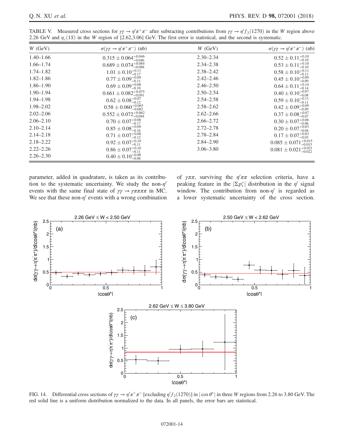| $W$ (GeV)     | $\sigma(\gamma\gamma \to \eta'\pi^+\pi^-)$ (nb) | $W$ (GeV)     | $\sigma(\gamma\gamma \to \eta'\pi^+\pi^-)$ (nb) |
|---------------|-------------------------------------------------|---------------|-------------------------------------------------|
| $1.40 - 1.66$ | $0.315 \pm 0.064^{+0.046}_{-0.046}$             | $2.30 - 2.34$ | $0.52 \pm 0.11^{+0.10}_{-0.10}$                 |
| $1.66 - 1.74$ | $0.689 \pm 0.074^{+0.084}_{-0.088}$             | $2.34 - 2.38$ | $0.53 \pm 0.11^{+0.10}_{-0.10}$                 |
| $1.74 - 1.82$ | $1.01 \pm 0.10^{+0.11}_{-0.17}$                 | $2.38 - 2.42$ | $0.58 \pm 0.10^{+0.11}_{-0.11}$                 |
| $1.82 - 1.86$ | $0.77 \pm 0.09^{+0.09}_{-0.11}$                 | $2.42 - 2.46$ | $0.45 \pm 0.10^{+0.09}_{-0.09}$                 |
| $1.86 - 1.90$ | $0.69 \pm 0.09_{-0.10}^{+0.08}$                 | $2.46 - 2.50$ | $0.64 \pm 0.11^{+0.14}_{-0.14}$                 |
| $1.90 - 1.94$ | $0.661 \pm 0.082^{+0.075}_{-0.091}$             | $2.50 - 2.54$ | $0.40 \pm 0.10^{+0.07}_{-0.08}$                 |
| $1.94 - 1.98$ | $0.62 \pm 0.08_{-0.12}^{+0.07}$                 | $2.54 - 2.58$ | $0.59 \pm 0.10^{+0.11}_{-0.11}$                 |
| 1.98-2.02     | $0.58 \pm 0.060^{+0.065}_{-0.082}$              | $2.58 - 2.62$ | $0.42 \pm 0.09^{+0.09}_{-0.09}$                 |
| $2.02 - 2.06$ | $0.552 \pm 0.072_{-0.094}^{+0.062}$             | $2.62 - 2.66$ | $0.37 \pm 0.08_{-0.07}^{+0.07}$                 |
| $2.06 - 2.10$ | $0.70 \pm 0.07^{+0.08}_{-0.17}$                 | $2.66 - 2.72$ | $0.30 \pm 0.07^{+0.06}_{-0.06}$                 |
| $2.10 - 2.14$ | $0.85 \pm 0.08_{-0.16}^{+0.09}$                 | $2.72 - 2.78$ | $0.20 \pm 0.07^{+0.03}_{-0.04}$                 |
| $2.14 - 2.18$ | $0.71 \pm 0.07^{+0.08}_{-0.12}$                 | $2.78 - 2.84$ | $0.17 \pm 0.07^{+0.03}_{-0.03}$                 |
| $2.18 - 2.22$ | $0.92 \pm 0.07^{+0.10}_{-0.11}$                 | $2.84 - 2.90$ | $0.085 \pm 0.071^{+0.015}_{-0.015}$             |
| $2.22 - 2.26$ | $0.86 \pm 0.07^{+0.10}_{-0.11}$                 | $3.06 - 3.80$ | $0.081 \pm 0.021^{+0.021}_{-0.022}$             |
| $2.26 - 2.30$ | $0.40 \pm 0.10^{+0.08}_{-0.08}$                 |               |                                                 |

<span id="page-13-0"></span>TABLE V. Measured cross sections for  $\gamma \gamma \to \eta' \pi^+ \pi^-$  after subtracting contributions from  $\gamma \gamma \to \eta' f_2(1270)$  in the W region above 2.26 GeV and  $\eta_c(1S)$  in the W region of [2.62,3.06] GeV. The first error is statistical, and the second is systematic.

parameter, added in quadrature, is taken as its contribution to the systematic uncertainty. We study the non- $\eta'$ events with the same final state of  $\gamma \gamma \rightarrow \gamma \pi \pi \pi \pi$  in MC. We see that these non- $\eta'$  events with a wrong combination

of  $\gamma \pi \pi$ , surviving the  $\eta' \pi \pi$  selection criteria, have a peaking feature in the  $|\Sigma p_t^*|$  distribution in the  $\eta'$  signal window. The contribution from non- $\eta'$  is regarded as a lower systematic uncertainty of the cross section.

<span id="page-13-1"></span>

FIG. 14. Differential cross sections of  $\gamma \gamma \to \eta' \pi^+ \pi^-$  [excluding  $\eta' f_2(1270)$ ] in  $|\cos \theta^*|$  in three W regions from 2.26 to 3.80 GeV. The red solid line is a uniform distribution normalized to the data. In all panels, the error bars are statistical.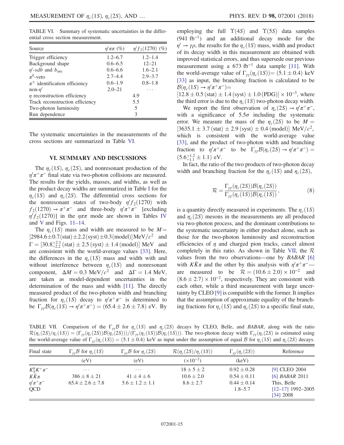<span id="page-14-0"></span>TABLE VI. Summary of systematic uncertainties in the differential cross section measurement.

| Source                                | $\eta' \pi \pi$ (%) | $\eta' f_2(1270)$ (%) |
|---------------------------------------|---------------------|-----------------------|
| Trigger efficiency                    | $1.2 - 6.7$         | $1.2 - 1.4$           |
| Background shape                      | $0.6 - 6.5$         | $12 - 21$             |
| $\eta'$ -sdb and $b_{\text{any}}$     | $0.6 - 6.6$         | $1.6 - 2.1$           |
| $\pi^0$ -veto                         | $2.7 - 4.4$         | $2.9 - 3.7$           |
| $\pi^{\pm}$ identification efficiency | $0.6 - 1.9$         | $0.8 - 1.8$           |
| non- $\eta'$                          | $2.0 - 21$          |                       |
| $\eta$ reconstruction efficiency      |                     | 4.9                   |
| Track reconstruction efficiency       |                     | 5.5                   |
| Two-photon luminosity                 |                     | 5                     |
| Run dependence                        |                     |                       |

The systematic uncertainties in the measurements of the cross sections are summarized in Table [VI.](#page-14-0)

#### VI. SUMMARY AND DISCUSSIONS

The  $\eta_c(1S)$ ,  $\eta_c(2S)$ , and nonresonant production of the  $\eta^{\prime}\pi^{+}\pi^{-}$  final state via two-photon collisions are measured. The results for the yields, masses, and widths, as well as the product decay widths are summarized in Table [I](#page-7-0) for the  $\eta_c(1S)$  and  $\eta_c(2S)$ . The differential cross sections for the nonresonant states of two-body  $\eta' f_2(1270)$  with  $f_2(1270) \rightarrow \pi^+\pi^-$  and three-body  $\eta^{\prime}\pi^+\pi^-$  [excluding  $\eta' f_2(1270)$ ] in the  $\eta \pi \pi$  mode are shown in Tables [IV](#page-12-0) and [V](#page-13-0) and Figs. 11–[14](#page-11-0).

The  $\eta_c(1S)$  mass and width are measured to be  $M=$  $[2984.6 \pm 0.7(stat) \pm 2.2(syst) \pm 0.3(model)] \text{MeV}/c^2$  and  $\Gamma = [30.8_{-2.2}^{+2.3} \text{ (stat)} \pm 2.5 \text{ (syst)} \pm 1.4 \text{ (model)}] \text{ MeV}$  and are consistent with the world-average values [\[33\]](#page-16-19). Here, the differences in the  $\eta_c(1S)$  mass and width with and without interference between  $\eta_c(1S)$  and nonresonant component,  $\Delta M = 0.3 \text{ MeV}/c^2$  and  $\Delta \Gamma = 1.4 \text{ MeV}$ , are taken as model-dependent uncertainties in the determination of the mass and width [\[11\].](#page-16-6) The directly measured product of the two-photon width and branching fraction for  $\eta_c(1S)$  decay to  $\eta/\pi^+\pi^-$  is determined to be  $\Gamma_{\gamma\gamma}\mathcal{B}(\eta_c(1S) \to \eta'\pi^+\pi^-) = (65.4 \pm 2.6 \pm 7.8) \text{ eV}$ . By employing the full  $\Upsilon(4S)$  and  $\Upsilon(5S)$  data samples (941 fb<sup>−</sup><sup>1</sup>) and an additional decay mode for the  $\eta' \rightarrow \gamma \rho$ , the results for the  $\eta_c(1S)$  mass, width and product of its decay width in this measurement are obtained with improved statistical errors, and thus supersede our previous measurement using a  $673$  fb<sup>-1</sup> data sample [\[11\]](#page-16-6). With the world-average value of  $\Gamma_{\gamma\gamma}(\eta_c(1S)) = (5.1 \pm 0.4) \text{ keV}$ [\[33\]](#page-16-19) as input, the branching fraction is calculated to be  $\mathcal{B}(\eta_c(1S) \to \eta' \pi^+ \pi^-)$ 

 $[12.8 \pm 0.5 \text{ (stat)} \pm 1.4 \text{ (syst)} \pm 1.0 \text{ (PDG)}] \times 10^{-3}$ , where the third error is due to the  $\eta_c(1S)$  two-photon decay width.

We report the first observation of  $\eta_c(2S) \to \eta' \pi^+ \pi^-$ , with a significance of  $5.5\sigma$  including the systematic error. We measure the mass of the  $\eta_c(2S)$  to be  $M =$  $[3635.1 \pm 3.7 \, (\text{stat}) \pm 2.9 \, (\text{syst}) \pm 0.4 \, (\text{model})] \, \text{MeV}/c^2$ , which is consistent with the world-average value [\[33\]](#page-16-19), and the product of two-photon width and branching fraction to  $\eta' \pi^+ \pi^-$  to be  $\Gamma_{\gamma \gamma} \mathcal{B}(\eta_c(2S) \to \eta' \pi^+ \pi^-) =$  $(5.6^{+1.2}_{-1.1} \pm 1.1)$  eV.

In fact, the ratio of the two products of two-photon decay width and branching fraction for the  $\eta_c(1S)$  and  $\eta_c(2S)$ ,

$$
\mathcal{R} = \frac{\Gamma_{\gamma\gamma}(\eta_c(2S))\mathcal{B}(\eta_c(2S))}{\Gamma_{\gamma\gamma}(\eta_c(1S))\mathcal{B}(\eta_c(1S))},\tag{8}
$$

<span id="page-14-2"></span>is a quantity directly measured in experiments. The  $\eta_c(1S)$ and  $\eta_c(2S)$  mesons in the measurements are all produced via two-photon process, and the dominant contributions to the systematic uncertainty in either product alone, such as those for the two-photon luminosity and reconstruction efficiencies of  $\eta$  and charged pion tracks, cancel almost completely in this ratio. As shown in Table [VII,](#page-14-1) the  $\mathcal R$ values from the two observations—one by *BABAR* [\[6\]](#page-16-21) with  $K\bar{K}\pi$  and the other by this analysis with  $\eta'\pi^+\pi^-$  are measured to be  $\mathcal{R} = (10.6 \pm 2.0) \times 10^{-2}$  and  $(8.6 \pm 2.7) \times 10^{-2}$ , respectively. They are consistent with each other, while a third measurement with large uncertainty by CLEO [\[9\]](#page-16-4) is compatible with the former. It implies that the assumption of approximate equality of the branching fractions for  $\eta_c(1S)$  and  $\eta_c(2S)$  to a specific final state,

<span id="page-14-1"></span>TABLE VII. Comparison of the Γ<sub>ηγ</sub>B for  $\eta_c(1S)$  and  $\eta_c(2S)$  decays by CLEO, Belle, and BABAR, along with the ratio  $\mathcal{R}(\eta_c(2S)/\eta_c(1S))=(\Gamma_{\gamma\gamma}(\eta_c(2S))\mathcal{B}(\eta_c(2S)))/(\Gamma_{\gamma\gamma}(\eta_c(1S))\mathcal{B}(\eta_c(1S))).$  The two-photon decay width  $\Gamma_{\gamma\gamma}(\eta_c(2S))$  is estimated using the world-average value of  $\Gamma_{\gamma\gamma}(\eta_c(1S)) = (5.1 \pm 0.4)$  keV as input under the assumption of equal B for  $\eta_c(1S)$  and  $\eta_c(2S)$  decays.

| Final state              | $\Gamma_{\gamma\gamma}$ B for $\eta_c(1S)$ | $\Gamma_{\gamma\gamma}$ B for $\eta_c(2S)$ | $\mathcal{R}(\eta_c(2S)/\eta_c(1S))$ | $\Gamma_{\gamma\gamma}(\eta_c(2S))$ | Reference                                         |
|--------------------------|--------------------------------------------|--------------------------------------------|--------------------------------------|-------------------------------------|---------------------------------------------------|
|                          | (eV)                                       | (eV)                                       | $(x10^{-2})$                         | (keV)                               |                                                   |
| $K^0_SK^+\pi^-$          | $\cdot$ $\cdot$ $\cdot$                    | $\cdots$                                   | $18 \pm 5 \pm 2$                     | $0.92 \pm 0.28$                     | [9] CLEO 2004                                     |
| $K\bar K\pi$             | $386 + 8 + 21$                             | $41 + 4 + 6$                               | $10.6 \pm 2.0$                       | $0.54 \pm 0.11$                     | $[6]$ <i>BABAR</i> 2011                           |
| $\eta'\pi^+\pi^-$<br>QCD | $65.4 \pm 2.6 \pm 7.8$                     | $5.6 \pm 1.2 \pm 1.1$                      | $8.6 \pm 2.7$                        | $0.44 \pm 0.14$<br>$1.8 - 5.7$      | This, Belle<br>$[12-17]$ 1992-2005<br>$[34]$ 2008 |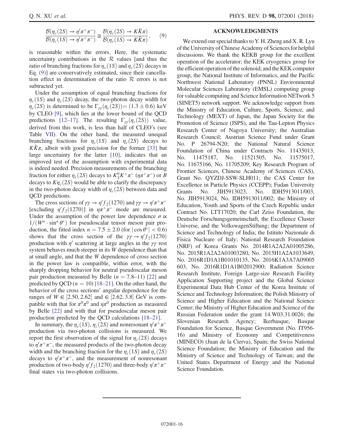$$
\frac{\mathcal{B}(\eta_c(2S) \to \eta' \pi^+ \pi^-)}{\mathcal{B}(\eta_c(1S) \to \eta' \pi^+ \pi^-)} \cong \frac{\mathcal{B}(\eta_c(2S) \to K\bar{K}\pi)}{\mathcal{B}(\eta_c(1S) \to K\bar{K}\pi)},\qquad(9)
$$

is reasonable within the errors. Here, the systematic uncertainty contributions in the  $R$  values [and thus the ratio of branching fractions for  $\eta_c(1S)$  and  $\eta_c(2S)$  decays in Eq. [\(9\)\]](#page-14-2) are conservatively estimated, since their cancellation effect in determination of the ratio  $R$  errors is not subtracted yet.

Under the assumption of equal branching fractions for  $\eta_c(1S)$  and  $\eta_c(2S)$  decay, the two-photon decay width for  $\eta_c(2S)$  is determined to be  $\Gamma_{\gamma\gamma}(\eta_c(2S)) = (1.3 \pm 0.6) \text{ keV}$ by CLEO [\[9\],](#page-16-4) which lies at the lower bound of the QCD predictions [\[12](#page-16-7)–17]. The resulting  $\Gamma_{\gamma\gamma}(\eta_c(2S))$  value, derived from this work, is less than half of CLEO's (see Table [VII](#page-14-1)). On the other hand, the measured unequal branching fractions for  $\eta_c(1S)$  and  $\eta_c(2S)$  decays to  $K\bar{K}\pi$ , albeit with good precision for the former [\[33\]](#page-16-19) but large uncertainty for the latter [\[10\],](#page-16-5) indicates that an improved test of the assumption with experimental data is indeed needed. Precision measurements of the branching fraction for either  $\eta_c(2S)$  decays to  $K_S^0 K^+\pi^-$  ( $\eta\pi^+\pi^-$ ) or B decays to  $K\eta_c(2S)$  would be able to clarify the discrepancy in the two-photon decay width of  $\eta_c(2S)$  between data and QCD predictions.

The cross sections of  $\gamma \gamma \to \eta' f_2(1270)$  and  $\gamma \gamma \to \eta' \pi^+ \pi^-$ [excluding  $\eta' f_2(1270)$ ] in  $\eta \pi^+ \pi^-$  mode are measured. Under the assumption of the power law dependence  $\sigma \propto$  $1/(W^n \cdot \sin^\alpha \theta^*)$  for pseudoscalar tensor meson pair production, the fitted index  $n = 7.5 \pm 2.0$  (for  $|\cos \theta^*| < 0.6$ ) shows that the cross section of the  $\gamma \gamma \to \eta' f_2(1270)$ production with  $\eta'$  scattering at large angles in the  $\gamma\gamma$  rest system behaves much steeper in its W dependence than that at small angle, and that the W dependence of cross section in the power law is compatible, within error, with the sharply dropping behavior for neutral pseudoscalar meson pair production measured by Belle  $(n = 7.8-11)$  [\[22\]](#page-16-10) and predicted by QCD ( $n = 10$ ) [\[18](#page-16-8)–21]. On the other hand, the behavior of the cross sections' angular dependence for the ranges of  $W \in [2.50, 2.62]$  and ∈ [2.62, 3.8] GeV is compatible with that for  $\pi^0 \pi^0$  and  $\eta \pi^0$  production as measured by Belle [\[22\]](#page-16-10) and with that for pseudoscalar meson pair production predicted by the QCD calculations [\[18](#page-16-8)–21].

In summary, the  $\eta_c(1S)$ ,  $\eta_c(2S)$  and nonresonant  $\eta'\pi^+\pi^$ production via two-photon collisions is measured. We report the first observation of the signal for  $\eta_c(2S)$  decays to  $\eta' \pi^+ \pi^-$ , the measured products of the two-photon decay width and the branching fraction for the  $\eta_c(1S)$  and  $\eta_c(2S)$ decays to  $\eta^{\prime}\pi^{+}\pi^{-}$ , and the measurement of nonresonant production of two-body  $\eta' f_2(1270)$  and three-body  $\eta' \pi^+ \pi^$ final states via two-photon collisions.

#### ACKNOWLEDGMENTS

We extend our special thanks to Y. H. Zheng and X. R. Lyu of the University of Chinese Academy of Sciences for helpful discussions. We thank the KEKB group for the excellent operation of the accelerator; the KEK cryogenics group for the efficient operation of the solenoid; and the KEK computer group, the National Institute of Informatics, and the Pacific Northwest National Laboratory (PNNL) Environmental Molecular Sciences Laboratory (EMSL) computing group for valuable computing and Science Information NETwork 5 (SINET5) network support. We acknowledge support from the Ministry of Education, Culture, Sports, Science, and Technology (MEXT) of Japan, the Japan Society for the Promotion of Science (JSPS), and the Tau-Lepton Physics Research Center of Nagoya University; the Australian Research Council; Austrian Science Fund under Grant No. P 26794-N20; the National Natural Science Foundation of China under Contracts No. 11435013, No. 11475187, No. 11521505, No. 11575017, No. 11675166, No. 11705209; Key Research Program of Frontier Sciences, Chinese Academy of Sciences (CAS), Grant No. QYZDJ-SSW-SLH011; the CAS Center for Excellence in Particle Physics (CCEPP); Fudan University Grants No. JIH5913023, No. IDH5913011/003, No. JIH5913024, No. IDH5913011/002; the Ministry of Education, Youth and Sports of the Czech Republic under Contract No. LTT17020; the Carl Zeiss Foundation, the Deutsche Forschungsgemeinschaft, the Excellence Cluster Universe, and the VolkswagenStiftung; the Department of Science and Technology of India; the Istituto Nazionale di Fisica Nucleare of Italy; National Research Foundation (NRF) of Korea Grants No. 2014R1A2A2A01005286, No. 2015R1A2A2A01003280, No. 2015H1A2A1033649, No. 2016R1D1A1B01010135, No. 2016K1A3A7A09005 603, No. 2016R1D1A1B02012900; Radiation Science Research Institute, Foreign Large-size Research Facility Application Supporting project and the Global Science Experimental Data Hub Center of the Korea Institute of Science and Technology Information; the Polish Ministry of Science and Higher Education and the National Science Center; the Ministry of Higher Education and Science of the Russian Federation under the grant 14.W03.31.0026; the Slovenian Research Agency; Ikerbasque, Basque Foundation for Science, Basque Government (No. IT956- 16) and Ministry of Economy and Competitiveness (MINECO) (Juan de la Cierva), Spain; the Swiss National Science Foundation; the Ministry of Education and the Ministry of Science and Technology of Taiwan; and the United States Department of Energy and the National Science Foundation.